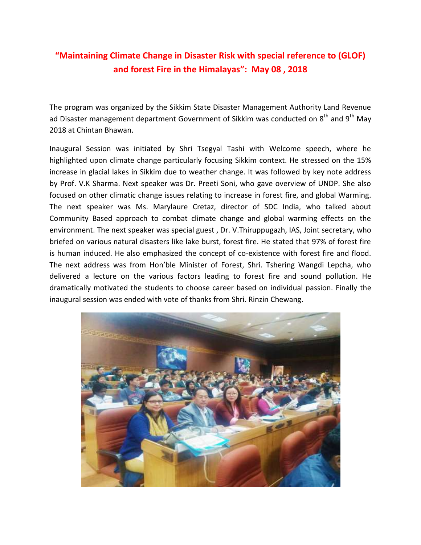## **"Maintaining Climate Change in Disaster Risk with special reference to (GLOF) and forest Fire in the Himalayas": May 08 , 2018**

The program was organized by the Sikkim State Disaster Management Authority Land Revenue ad Disaster management department Government of Sikkim was conducted on  $8<sup>th</sup>$  and  $9<sup>th</sup>$  May 2018 at Chintan Bhawan.

Inaugural Session was initiated by Shri Tsegyal Tashi with Welcome speech, where he highlighted upon climate change particularly focusing Sikkim context. He stressed on the 15% increase in glacial lakes in Sikkim due to weather change. It was followed by key note address by Prof. V.K Sharma. Next speaker was Dr. Preeti Soni, who gave overview of UNDP. She also focused on other climatic change issues relating to increase in forest fire, and global Warming. The next speaker was Ms. Marylaure Cretaz, director of SDC India, who talked about Community Based approach to combat climate change and global warming effects on the environment. The next speaker was special guest , Dr. V.Thiruppugazh, IAS, Joint secretary, who briefed on various natural disasters like lake burst, forest fire. He stated that 97% of forest fire is human induced. He also emphasized the concept of co-existence with forest fire and flood. The next address was from Hon'ble Minister of Forest, Shri. Tshering Wangdi Lepcha, who delivered a lecture on the various factors leading to forest fire and sound pollution. He dramatically motivated the students to choose career based on individual passion. Finally the inaugural session was ended with vote of thanks from Shri. Rinzin Chewang.